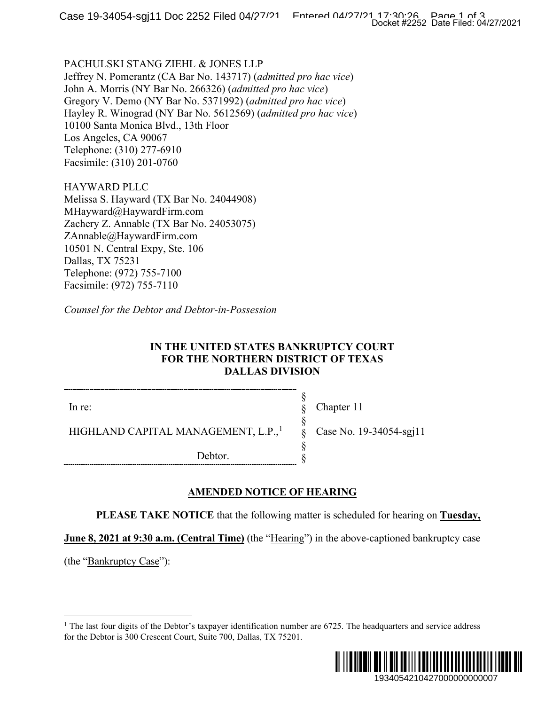PACHULSKI STANG ZIEHL & JONES LLP Jeffrey N. Pomerantz (CA Bar No. 143717) (*admitted pro hac vice*) John A. Morris (NY Bar No. 266326) (*admitted pro hac vice*) Gregory V. Demo (NY Bar No. 5371992) (*admitted pro hac vice*) Hayley R. Winograd (NY Bar No. 5612569) (*admitted pro hac vice*) 10100 Santa Monica Blvd., 13th Floor Los Angeles, CA 90067 Telephone: (310) 277-6910 Facsimile: (310) 201-0760

HAYWARD PLLC Melissa S. Hayward (TX Bar No. 24044908)

MHayward@HaywardFirm.com Zachery Z. Annable (TX Bar No. 24053075) ZAnnable@HaywardFirm.com 10501 N. Central Expy, Ste. 106 Dallas, TX 75231 Telephone: (972) 755-7100 Facsimile: (972) 755-7110

*Counsel for the Debtor and Debtor-in-Possession*

### **IN THE UNITED STATES BANKRUPTCY COURT FOR THE NORTHERN DISTRICT OF TEXAS DALLAS DIVISION**

In re:

HIGHLAND CAPITAL MANAGEMENT, L.P.,<sup>[1](#page-0-0)</sup>

Chapter 11

Case No. 19-34054-sgj11

Debtor.

# **AMENDED NOTICE OF HEARING**

**PLEASE TAKE NOTICE** that the following matter is scheduled for hearing on **Tuesday,** 

§ § § § § §

**June 8, 2021 at 9:30 a.m. (Central Time)** (the "Hearing") in the above-captioned bankruptcy case

<span id="page-0-0"></span>(the "Bankruptcy Case"):

<sup>&</sup>lt;sup>1</sup> The last four digits of the Debtor's taxpayer identification number are  $6725$ . The headquarters and service address for the Debtor is 300 Crescent Court, Suite 700, Dallas, TX 75201.

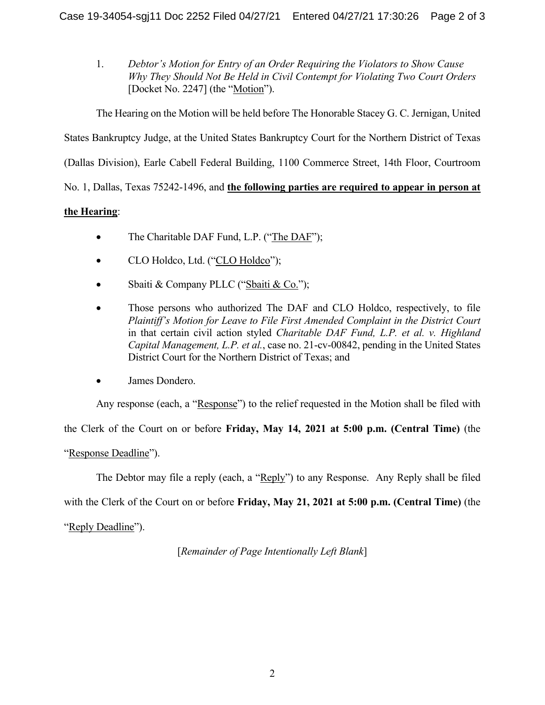1. *Debtor's Motion for Entry of an Order Requiring the Violators to Show Cause Why They Should Not Be Held in Civil Contempt for Violating Two Court Orders* [Docket No. 2247] (the "Motion").

The Hearing on the Motion will be held before The Honorable Stacey G. C. Jernigan, United States Bankruptcy Judge, at the United States Bankruptcy Court for the Northern District of Texas (Dallas Division), Earle Cabell Federal Building, 1100 Commerce Street, 14th Floor, Courtroom No. 1, Dallas, Texas 75242-1496, and **the following parties are required to appear in person at** 

## **the Hearing**:

- The Charitable DAF Fund, L.P. ("The DAF");
- CLO Holdco, Ltd. ("CLO Holdco");
- Sbaiti & Company PLLC ("Sbaiti & Co.");
- Those persons who authorized The DAF and CLO Holdco, respectively, to file *Plaintiff's Motion for Leave to File First Amended Complaint in the District Court* in that certain civil action styled *Charitable DAF Fund, L.P. et al. v. Highland Capital Management, L.P. et al.*, case no. 21-cv-00842, pending in the United States District Court for the Northern District of Texas; and
- James Dondero.

Any response (each, a "Response") to the relief requested in the Motion shall be filed with

the Clerk of the Court on or before **Friday, May 14, 2021 at 5:00 p.m. (Central Time)** (the

"Response Deadline").

The Debtor may file a reply (each, a "Reply") to any Response. Any Reply shall be filed

with the Clerk of the Court on or before **Friday, May 21, 2021 at 5:00 p.m. (Central Time)** (the

"Reply Deadline").

[*Remainder of Page Intentionally Left Blank*]